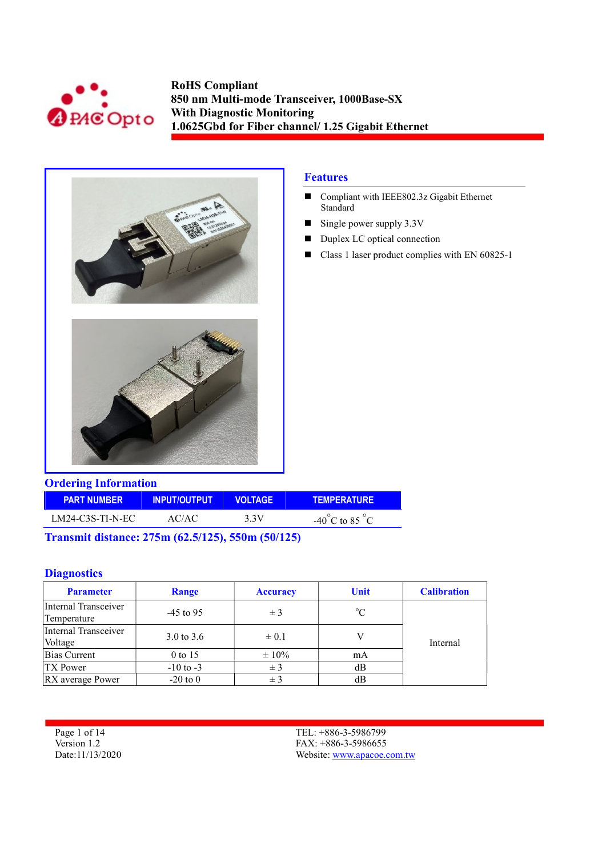



## Features

- Compliant with IEEE802.3z Gigabit Ethernet Standard
- $\blacksquare$  Single power supply 3.3V
- Duplex LC optical connection
- Class 1 laser product complies with EN 60825-1

| <b>Ordering Information</b> |                     |                |                                    |  |  |  |
|-----------------------------|---------------------|----------------|------------------------------------|--|--|--|
| <b>PART NUMBER</b>          | <b>INPUT/OUTPUT</b> | <b>VOLTAGE</b> | <b>TEMPERATURE</b>                 |  |  |  |
| LM24-C3S-TI-N-EC            | AC/AC               | 3.3V           | $-40^{\circ}$ C to 85 $^{\circ}$ C |  |  |  |

Transmit distance: 275m (62.5/125), 550m (50/125)

## **Diagnostics**

| <b>Parameter</b>                    | Range                 | <b>Accuracy</b> | <b>Unit</b> | <b>Calibration</b> |
|-------------------------------------|-----------------------|-----------------|-------------|--------------------|
| Internal Transceiver<br>Temperature | $-45$ to 95           | ± 3             | $\rm ^{o}C$ |                    |
| Internal Transceiver<br>Voltage     | $3.0 \text{ to } 3.6$ | $\pm 0.1$       |             | Internal           |
| Bias Current                        | $0$ to 15             | $\pm 10\%$      | mA          |                    |
| <b>TX Power</b>                     | $-10$ to $-3$         | $\pm$ 3         | dВ          |                    |
| RX average Power                    | $-20$ to $0$          | ± 3             | dВ          |                    |

Page 1 of 14 Version 1.2 Date:11/13/2020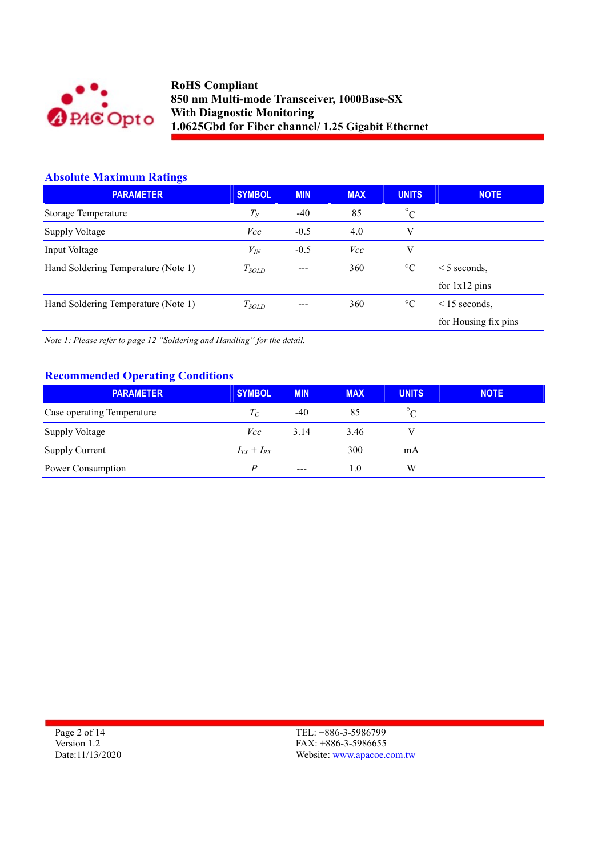

## Absolute Maximum Ratings

| <b>PARAMETER</b>                    | <b>SYMBOL</b> | <b>MIN</b> | <b>MAX</b> | <b>UNITS</b>    | <b>NOTE</b>             |
|-------------------------------------|---------------|------------|------------|-----------------|-------------------------|
| <b>Storage Temperature</b>          | $T_S$         | $-40$      | 85         | $^{\circ}$ C    |                         |
| Supply Voltage                      | Vcc           | $-0.5$     | 4.0        | V               |                         |
| Input Voltage                       | $V_{I\!N}$    | $-0.5$     | Vcc        | V               |                         |
| Hand Soldering Temperature (Note 1) | $T_{SOLD}$    | ---        | 360        | $\rm ^{\circ}C$ | $\leq$ 5 seconds.       |
|                                     |               |            |            |                 | for $1x12 \text{ pins}$ |
| Hand Soldering Temperature (Note 1) | $T_{SOLD}$    |            | 360        | $\rm ^{\circ}C$ | $\leq$ 15 seconds.      |
|                                     |               |            |            |                 | for Housing fix pins    |

Note 1: Please refer to page 12 "Soldering and Handling" for the detail.

## Recommended Operating Conditions

| <b>PARAMETER</b>           | <b>SYMBOL</b>   | <b>MIN</b> | <b>MAX</b> | <b>UNITS</b> | <b>NOTE</b> |
|----------------------------|-----------------|------------|------------|--------------|-------------|
| Case operating Temperature | $T_C$           | $-40$      | 85         | $\sqrt{ }$   |             |
| Supply Voltage             | Vcc             | 3.14       | 3.46       |              |             |
| Supply Current             | $I_{TX}+I_{RX}$ |            | 300        | mA           |             |
| Power Consumption          |                 | $- - -$    | 1.0        | W            |             |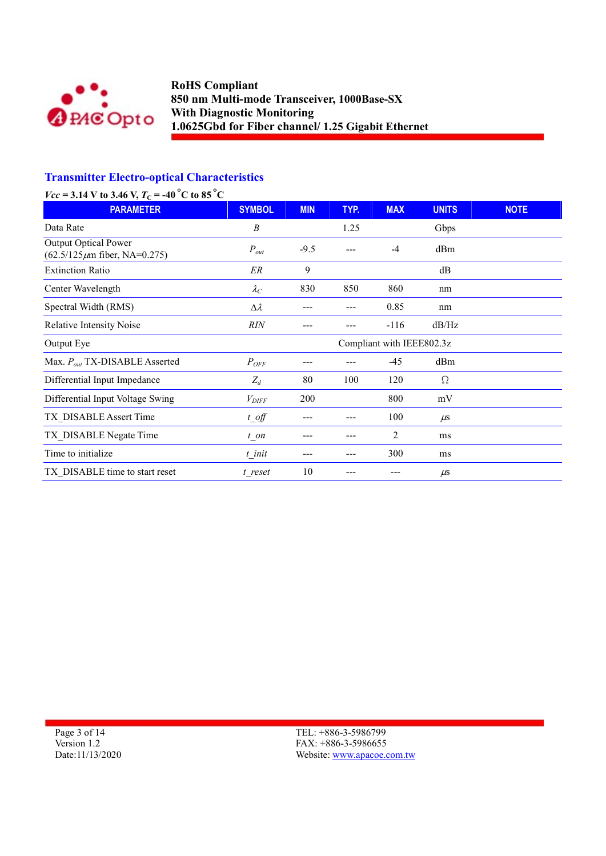

# Transmitter Electro-optical Characteristics

| $Vcc = 3.14$ V to 3.46 V, $T_C = -40$ °C to 85°C                  |                   |            |      |                           |              |             |
|-------------------------------------------------------------------|-------------------|------------|------|---------------------------|--------------|-------------|
| <b>PARAMETER</b>                                                  | <b>SYMBOL</b>     | <b>MIN</b> | TYP. | <b>MAX</b>                | <b>UNITS</b> | <b>NOTE</b> |
| Data Rate                                                         | $\boldsymbol{B}$  |            | 1.25 |                           | Gbps         |             |
| <b>Output Optical Power</b><br>$(62.5/125 \mu m$ fiber, NA=0.275) | $P_{out}$         | $-9.5$     | ---  | $-4$                      | dBm          |             |
| <b>Extinction Ratio</b>                                           | ER                | 9          |      |                           | dB           |             |
| Center Wavelength                                                 | $\lambda_C$       | 830        | 850  | 860                       | nm           |             |
| Spectral Width (RMS)                                              | $\Delta \lambda$  |            | ---  | 0.85                      | nm           |             |
| Relative Intensity Noise                                          | <b>RIN</b>        |            |      | $-116$                    | dB/Hz        |             |
| Output Eye                                                        |                   |            |      | Compliant with IEEE802.3z |              |             |
| Max. $P_{out}$ TX-DISABLE Asserted                                | $P_{OFF}$         |            |      | $-45$                     | dBm          |             |
| Differential Input Impedance                                      | $Z_d$             | 80         | 100  | 120                       | Ω            |             |
| Differential Input Voltage Swing                                  | $V_{\text{DIFF}}$ | 200        |      | 800                       | mV           |             |
| TX DISABLE Assert Time                                            | $t$ off           |            |      | 100                       | $\mu$ s      |             |
| TX DISABLE Negate Time                                            | $t$ on            |            | ---  | 2                         | ms           |             |
| Time to initialize                                                | t init            |            | ---  | 300                       | ms           |             |
| TX DISABLE time to start reset                                    | t_reset           | 10         |      |                           | $\mu$ s      |             |

Page 3 of 14 Version 1.2 Date:11/13/2020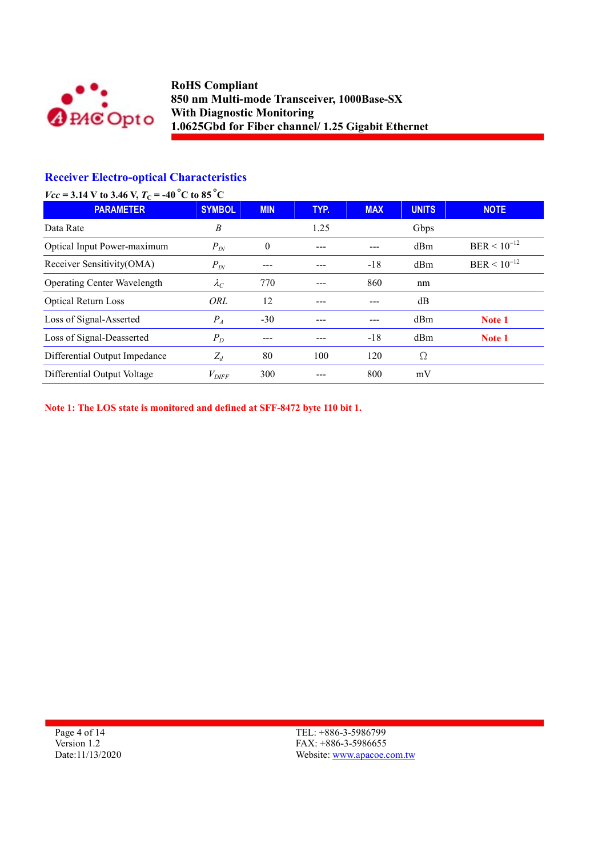

# Receiver Electro-optical Characteristics

| $Vcc = 3.14$ V to 3.46 V, $T_C = -40$ °C to 85°C |                   |            |      |            |              |                  |
|--------------------------------------------------|-------------------|------------|------|------------|--------------|------------------|
| <b>PARAMETER</b>                                 | <b>SYMBOL</b>     | <b>MIN</b> | TYP. | <b>MAX</b> | <b>UNITS</b> | <b>NOTE</b>      |
| Data Rate                                        | B                 |            | 1.25 |            | Gbps         |                  |
| Optical Input Power-maximum                      | $P_{I\!N}$        | $\theta$   |      |            | dBm          | $BER < 10^{-12}$ |
| Receiver Sensitivity(OMA)                        | $P_{I\!N}$        |            |      | $-18$      | dBm          | $BER < 10^{-12}$ |
| <b>Operating Center Wavelength</b>               | $\lambda_C$       | 770        |      | 860        | nm           |                  |
| <b>Optical Return Loss</b>                       | ORL               | 12         |      |            | dB           |                  |
| Loss of Signal-Asserted                          | $P_{A}$           | $-30$      |      |            | dBm          | Note 1           |
| Loss of Signal-Deasserted                        | $P_D$             |            |      | $-18$      | dBm          | Note 1           |
| Differential Output Impedance                    | $Z_d$             | 80         | 100  | 120        | Ω            |                  |
| Differential Output Voltage                      | $V_{\text{DIFF}}$ | 300        |      | 800        | mV           |                  |

Note 1: The LOS state is monitored and defined at SFF-8472 byte 110 bit 1.

Page 4 of 14 Version 1.2 Date:11/13/2020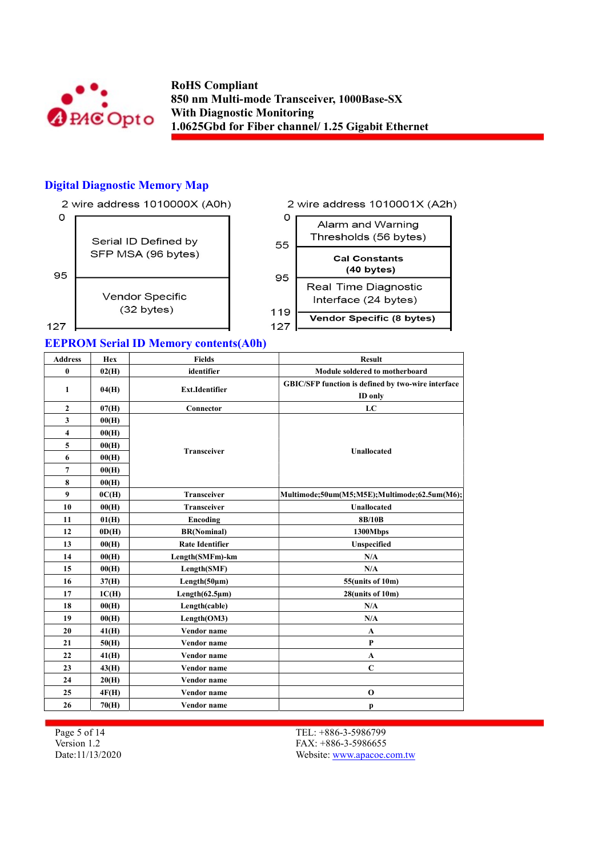

## Digital Diagnostic Memory Map



#### EEPROM Serial ID Memory contents(A0h)

| <b>Address</b> | Hex   | <b>Fields</b>          | <b>Result</b>                                      |
|----------------|-------|------------------------|----------------------------------------------------|
| $\bf{0}$       | 02(H) | identifier             | Module soldered to motherboard                     |
| $\mathbf{1}$   | 04(H) | <b>Ext.Identifier</b>  | GBIC/SFP function is defined by two-wire interface |
|                |       |                        | ID only                                            |
| $\overline{2}$ | 07(H) | Connector              | LC                                                 |
| 3              | 00(H) |                        |                                                    |
| 4              | 00(H) |                        |                                                    |
| 5              | 00(H) |                        |                                                    |
| 6              | 00(H) | <b>Transceiver</b>     | <b>Unallocated</b>                                 |
| 7              | 00(H) |                        |                                                    |
| 8              | 00(H) |                        |                                                    |
| 9              | 0C(H) | <b>Transceiver</b>     | Multimode;50um(M5;M5E);Multimode;62.5um(M6);       |
| 10             | 00(H) | <b>Transceiver</b>     | <b>Unallocated</b>                                 |
| 11             | 01(H) | Encoding               | 8B/10B                                             |
| 12             | OD(H) | <b>BR(Nominal)</b>     | 1300Mbps                                           |
| 13             | 00(H) | <b>Rate Identifier</b> | Unspecified                                        |
| 14             | 00(H) | Length(SMFm)-km        | N/A                                                |
| 15             | 00(H) | Length(SMF)            | N/A                                                |
| 16             | 37(H) | Length(50µm)           | 55(units of 10m)                                   |
| 17             | 1C(H) | $Length(62.5\mu m)$    | 28(units of 10m)                                   |
| 18             | 00(H) | Length(cable)          | N/A                                                |
| 19             | 00(H) | Length(OM3)            | N/A                                                |
| 20             | 41(H) | Vendor name            | $\mathbf{A}$                                       |
| 21             | 50(H) | Vendor name            | P                                                  |
| 22             | 41(H) | Vendor name            | A                                                  |
| 23             | 43(H) | Vendor name            | $\mathbf C$                                        |
| 24             | 20(H) | Vendor name            |                                                    |
| 25             | 4F(H) | Vendor name            | $\mathbf 0$                                        |
| 26             | 70(H) | Vendor name            | p                                                  |

Page 5 of 14 Version 1.2 Date:11/13/2020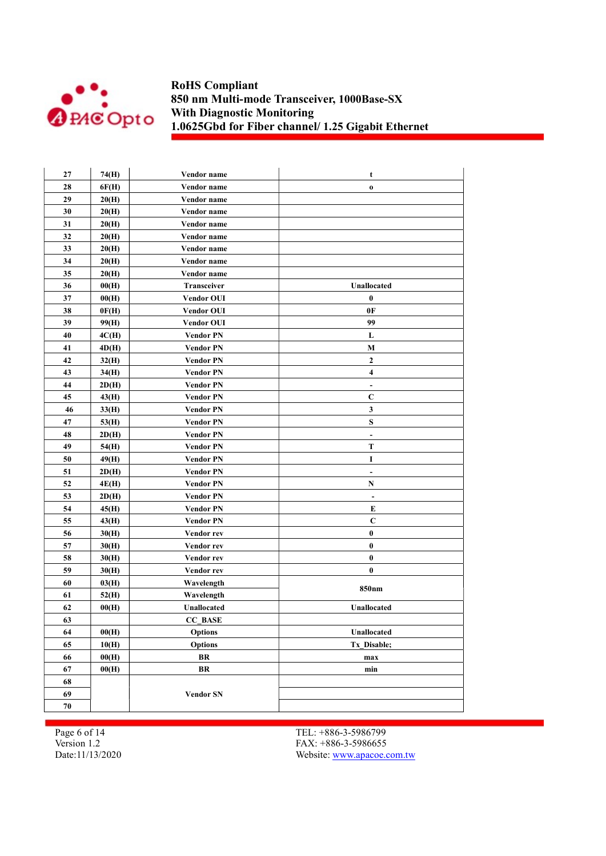

| 27 | 74(H) | Vendor name       | t                        |
|----|-------|-------------------|--------------------------|
| 28 | 6F(H) | Vendor name       | $\mathbf 0$              |
| 29 | 20(H) | Vendor name       |                          |
| 30 | 20(H) | Vendor name       |                          |
| 31 | 20(H) | Vendor name       |                          |
| 32 | 20(H) | Vendor name       |                          |
| 33 | 20(H) | Vendor name       |                          |
| 34 | 20(H) | Vendor name       |                          |
| 35 | 20(H) | Vendor name       |                          |
| 36 | 00(H) | Transceiver       | Unallocated              |
| 37 | 00(H) | <b>Vendor OUI</b> | $\boldsymbol{0}$         |
| 38 | 0F(H) | <b>Vendor OUI</b> | 0F                       |
| 39 | 99(H) | <b>Vendor OUI</b> | 99                       |
| 40 | 4C(H) | <b>Vendor PN</b>  | L                        |
| 41 | 4D(H) | Vendor PN         | M                        |
| 42 | 32(H) | <b>Vendor PN</b>  | $\mathbf{2}$             |
| 43 | 34(H) | <b>Vendor PN</b>  | 4                        |
| 44 | 2D(H) | <b>Vendor PN</b>  | $\overline{\phantom{a}}$ |
| 45 | 43(H) | <b>Vendor PN</b>  | $\mathbf C$              |
| 46 | 33(H) | <b>Vendor PN</b>  | $\mathbf{3}$             |
| 47 | 53(H) | Vendor PN         | ${\bf S}$                |
| 48 | 2D(H) | Vendor PN         | ٠                        |
| 49 | 54(H) | <b>Vendor PN</b>  | T                        |
| 50 | 49(H) | Vendor PN         | I                        |
| 51 | 2D(H) | Vendor PN         | $\overline{\phantom{a}}$ |
| 52 | 4E(H) | Vendor PN         | N                        |
| 53 | 2D(H) | Vendor PN         | $\overline{\phantom{a}}$ |
| 54 | 45(H) | Vendor PN         | E                        |
| 55 | 43(H) | Vendor PN         | $\mathbf C$              |
| 56 | 30(H) | Vendor rev        | $\pmb{0}$                |
| 57 | 30(H) | Vendor rev        | $\pmb{0}$                |
| 58 | 30(H) | Vendor rev        | $\pmb{0}$                |
| 59 | 30(H) | Vendor rev        | $\bf{0}$                 |
| 60 | 03(H) | Wavelength        |                          |
| 61 | 52(H) | Wavelength        | 850 <sub>nm</sub>        |
| 62 | 00(H) | Unallocated       | Unallocated              |
| 63 |       | <b>CC BASE</b>    |                          |
| 64 | 00(H) | <b>Options</b>    | Unallocated              |
| 65 | 10(H) | <b>Options</b>    | Tx Disable;              |
| 66 | 00(H) | BR                | max                      |
| 67 | 00(H) | BR                | min                      |
| 68 |       |                   |                          |
| 69 |       | <b>Vendor SN</b>  |                          |
| 70 |       |                   |                          |

Page 6 of 14 Version 1.2 Date:11/13/2020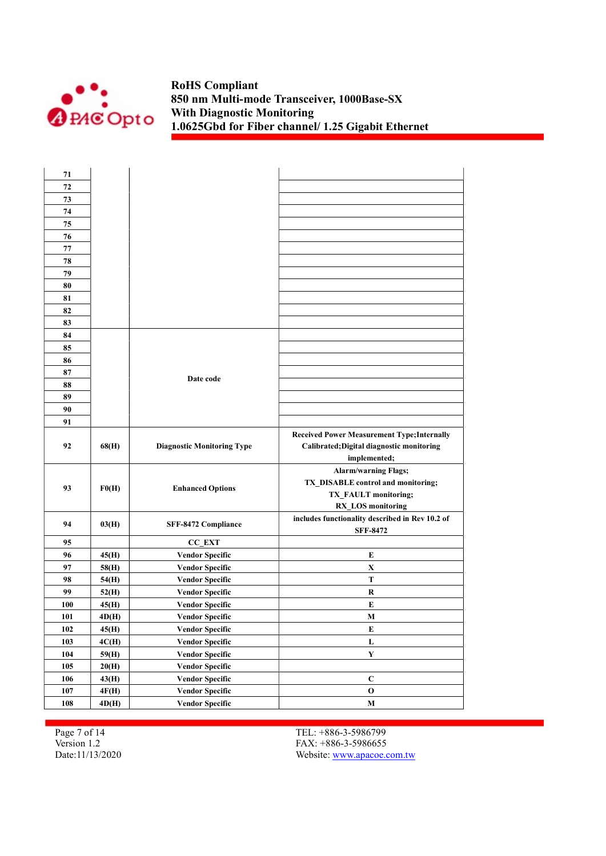

| 71  |       |                                   |                                                    |
|-----|-------|-----------------------------------|----------------------------------------------------|
| 72  |       |                                   |                                                    |
| 73  |       |                                   |                                                    |
| 74  |       |                                   |                                                    |
| 75  |       |                                   |                                                    |
| 76  |       |                                   |                                                    |
| 77  |       |                                   |                                                    |
| 78  |       |                                   |                                                    |
| 79  |       |                                   |                                                    |
| 80  |       |                                   |                                                    |
| 81  |       |                                   |                                                    |
| 82  |       |                                   |                                                    |
| 83  |       |                                   |                                                    |
| 84  |       |                                   |                                                    |
| 85  |       |                                   |                                                    |
| 86  |       |                                   |                                                    |
| 87  |       |                                   |                                                    |
| 88  |       | Date code                         |                                                    |
| 89  |       |                                   |                                                    |
| 90  |       |                                   |                                                    |
| 91  |       |                                   |                                                    |
|     |       |                                   | <b>Received Power Measurement Type; Internally</b> |
| 92  | 68(H) | <b>Diagnostic Monitoring Type</b> | Calibrated; Digital diagnostic monitoring          |
|     |       |                                   | implemented;                                       |
|     |       |                                   | <b>Alarm/warning Flags;</b>                        |
| 93  |       |                                   | TX_DISABLE control and monitoring;                 |
|     | F0(H) | <b>Enhanced Options</b>           | TX_FAULT monitoring;                               |
|     |       |                                   | <b>RX_LOS</b> monitoring                           |
| 94  | 03(H) | SFF-8472 Compliance               | includes functionality described in Rev 10.2 of    |
|     |       |                                   | <b>SFF-8472</b>                                    |
| 95  |       | <b>CC EXT</b>                     |                                                    |
| 96  | 45(H) | <b>Vendor Specific</b>            | E                                                  |
| 97  | 58(H) | <b>Vendor Specific</b>            | X                                                  |
| 98  | 54(H) | <b>Vendor Specific</b>            | T                                                  |
| 99  | 52(H) | <b>Vendor Specific</b>            | R                                                  |
| 100 | 45(H) | <b>Vendor Specific</b>            | E                                                  |
| 101 | 4D(H) | <b>Vendor Specific</b>            | M                                                  |
| 102 | 45(H) | <b>Vendor Specific</b>            | E                                                  |
| 103 | 4C(H) | <b>Vendor Specific</b>            | $\mathbf L$                                        |
| 104 | 59(H) | <b>Vendor Specific</b>            | $\mathbf Y$                                        |
| 105 | 20(H) | <b>Vendor Specific</b>            |                                                    |
| 106 | 43(H) | <b>Vendor Specific</b>            | $\mathbf C$                                        |
| 107 | 4F(H) | <b>Vendor Specific</b>            | $\mathbf 0$                                        |
| 108 | 4D(H) | <b>Vendor Specific</b>            | $\mathbf M$                                        |

Page 7 of 14 Version 1.2 Date:11/13/2020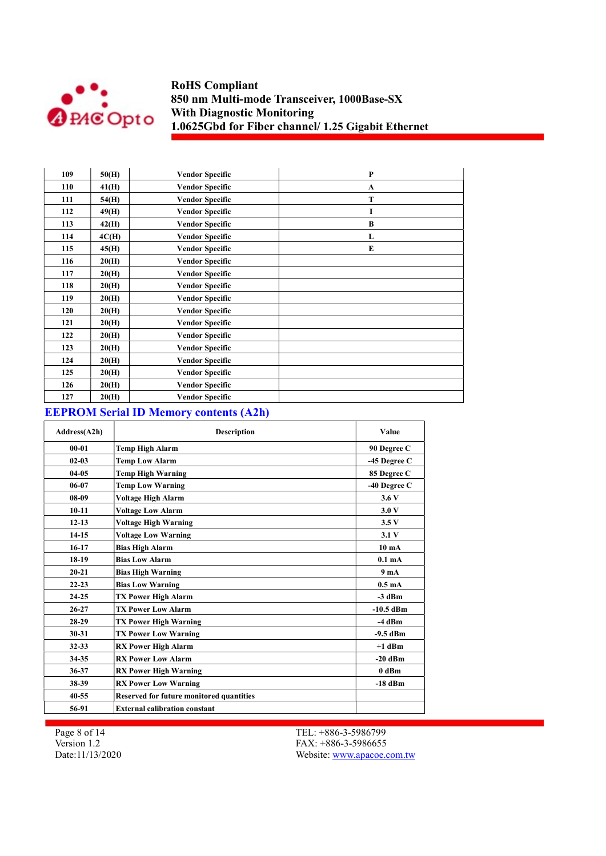

| 109 | 50(H) | <b>Vendor Specific</b> | P            |
|-----|-------|------------------------|--------------|
| 110 | 41(H) | <b>Vendor Specific</b> | $\mathbf{A}$ |
| 111 | 54(H) | <b>Vendor Specific</b> | T            |
| 112 | 49(H) | <b>Vendor Specific</b> | I            |
| 113 | 42(H) | <b>Vendor Specific</b> | B            |
| 114 | 4C(H) | <b>Vendor Specific</b> | L            |
| 115 | 45(H) | <b>Vendor Specific</b> | E            |
| 116 | 20(H) | <b>Vendor Specific</b> |              |
| 117 | 20(H) | <b>Vendor Specific</b> |              |
| 118 | 20(H) | <b>Vendor Specific</b> |              |
| 119 | 20(H) | <b>Vendor Specific</b> |              |
| 120 | 20(H) | <b>Vendor Specific</b> |              |
| 121 | 20(H) | <b>Vendor Specific</b> |              |
| 122 | 20(H) | <b>Vendor Specific</b> |              |
| 123 | 20(H) | <b>Vendor Specific</b> |              |
| 124 | 20(H) | <b>Vendor Specific</b> |              |
| 125 | 20(H) | <b>Vendor Specific</b> |              |
| 126 | 20(H) | <b>Vendor Specific</b> |              |
| 127 | 20(H) | <b>Vendor Specific</b> |              |

## EEPROM Serial ID Memory contents (A2h)

| Address(A2h) | <b>Description</b>                              | Value              |
|--------------|-------------------------------------------------|--------------------|
| $00 - 01$    | <b>Temp High Alarm</b>                          | 90 Degree C        |
| $02 - 03$    | <b>Temp Low Alarm</b>                           | -45 Degree C       |
| $04-05$      | <b>Temp High Warning</b>                        | 85 Degree C        |
| 06-07        | <b>Temp Low Warning</b>                         | -40 Degree C       |
| $08-09$      | Voltage High Alarm                              | 3.6V               |
| $10-11$      | <b>Voltage Low Alarm</b>                        | 3.0V               |
| $12 - 13$    | <b>Voltage High Warning</b>                     | 3.5V               |
| $14-15$      | <b>Voltage Low Warning</b>                      | 3.1V               |
| $16-17$      | <b>Bias High Alarm</b>                          | 10 <sub>mA</sub>   |
| 18-19        | <b>Bias Low Alarm</b>                           | 0.1 <sub>m</sub> A |
| $20 - 21$    | <b>Bias High Warning</b>                        | 9 <sub>m</sub> A   |
| $22 - 23$    | <b>Bias Low Warning</b>                         | $0.5 \text{ mA}$   |
| $24 - 25$    | <b>TX Power High Alarm</b>                      | $-3$ dBm           |
| $26 - 27$    | <b>TX Power Low Alarm</b>                       | $-10.5$ dBm        |
| $28-29$      | <b>TX Power High Warning</b>                    | $-4$ dBm           |
| $30 - 31$    | <b>TX Power Low Warning</b>                     | $-9.5$ dBm         |
| 32-33        | <b>RX Power High Alarm</b>                      | $+1$ dBm           |
| 34-35        | <b>RX Power Low Alarm</b>                       | $-20$ dBm          |
| 36-37        | <b>RX Power High Warning</b>                    | 0 dBm              |
| 38-39        | <b>RX Power Low Warning</b>                     | $-18$ dBm          |
| $40 - 55$    | <b>Reserved for future monitored quantities</b> |                    |
| 56-91        | <b>External calibration constant</b>            |                    |

Page 8 of 14 Version 1.2 Date:11/13/2020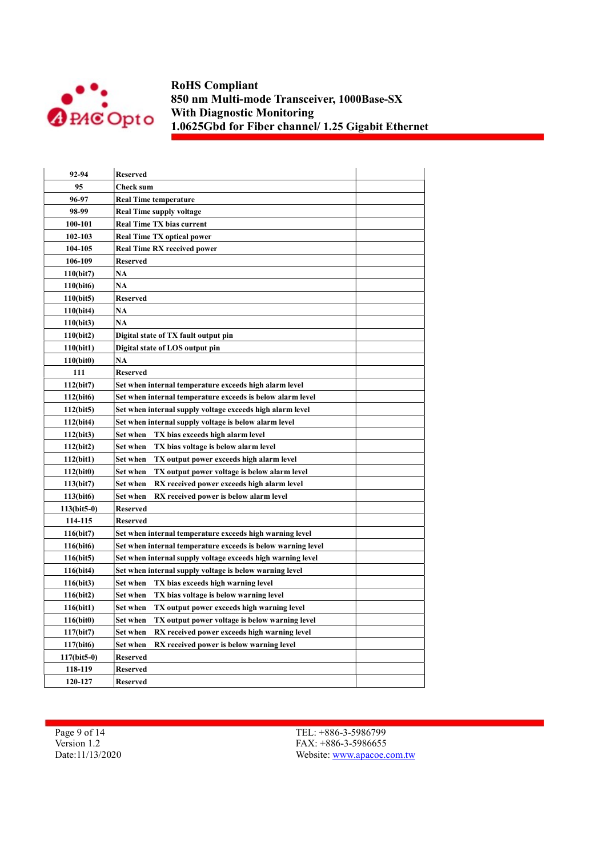

| 92-94                  | <b>Reserved</b>                                                 |  |
|------------------------|-----------------------------------------------------------------|--|
| 95                     | <b>Check sum</b>                                                |  |
| 96-97                  | <b>Real Time temperature</b>                                    |  |
| 98-99                  | <b>Real Time supply voltage</b>                                 |  |
| 100-101                | <b>Real Time TX bias current</b>                                |  |
| 102-103                | <b>Real Time TX optical power</b>                               |  |
| 104-105                | <b>Real Time RX received power</b>                              |  |
| 106-109                | <b>Reserved</b>                                                 |  |
| 110(bit7)              | <b>NA</b>                                                       |  |
| 110(bit6)              | NA                                                              |  |
| 110(bit5)              | <b>Reserved</b>                                                 |  |
| 110(bit4)              | <b>NA</b>                                                       |  |
| 110(bit3)              | <b>NA</b>                                                       |  |
| 110(bit2)              | Digital state of TX fault output pin                            |  |
| 110(bit1)              | Digital state of LOS output pin                                 |  |
| 110(bit0)              | <b>NA</b>                                                       |  |
| 111                    | <b>Reserved</b>                                                 |  |
| 112(bit7)              | Set when internal temperature exceeds high alarm level          |  |
| 112(bit6)              | Set when internal temperature exceeds is below alarm level      |  |
| 112(bit5)              | Set when internal supply voltage exceeds high alarm level       |  |
| 112(bit4)              | Set when internal supply voltage is below alarm level           |  |
| 112(bit3)              | Set when<br>TX bias exceeds high alarm level                    |  |
| 112(bit2)              | Set when<br>TX bias voltage is below alarm level                |  |
| 112(bit1)              | Set when<br>TX output power exceeds high alarm level            |  |
| 112(bit0)              | <b>Set when</b><br>TX output power voltage is below alarm level |  |
| 113(bit7)              | Set when<br>RX received power exceeds high alarm level          |  |
| 113(bit6)              | Set when<br>RX received power is below alarm level              |  |
| $113(bit5-0)$          | <b>Reserved</b>                                                 |  |
| 114-115                | <b>Reserved</b>                                                 |  |
| 116(bit)               | Set when internal temperature exceeds high warning level        |  |
| 116(bit6)              | Set when internal temperature exceeds is below warning level    |  |
| 116(bit5)              | Set when internal supply voltage exceeds high warning level     |  |
| 116(bit4)              | Set when internal supply voltage is below warning level         |  |
| 116(bit3)              | Set when<br>TX bias exceeds high warning level                  |  |
| 116(bit2)              | Set when<br>TX bias voltage is below warning level              |  |
| 116(bit1)              | Set when<br>TX output power exceeds high warning level          |  |
| 116(bit0)              | Set when<br>TX output power voltage is below warning level      |  |
| 117(bit7)              | Set when<br>RX received power exceeds high warning level        |  |
| 117(bit <sub>6</sub> ) | Set when<br>RX received power is below warning level            |  |
| 117(bit5-0)            | Reserved                                                        |  |
| 118-119                | <b>Reserved</b>                                                 |  |
| 120-127                | Reserved                                                        |  |

Page 9 of 14 Version 1.2 Date:11/13/2020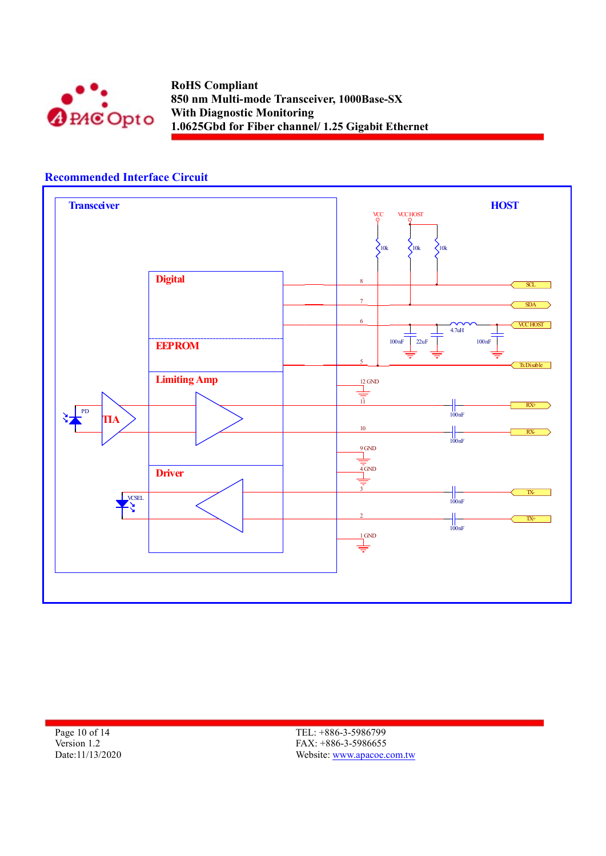

## Recommended Interface Circuit



Page 10 of 14 Version 1.2 Date:11/13/2020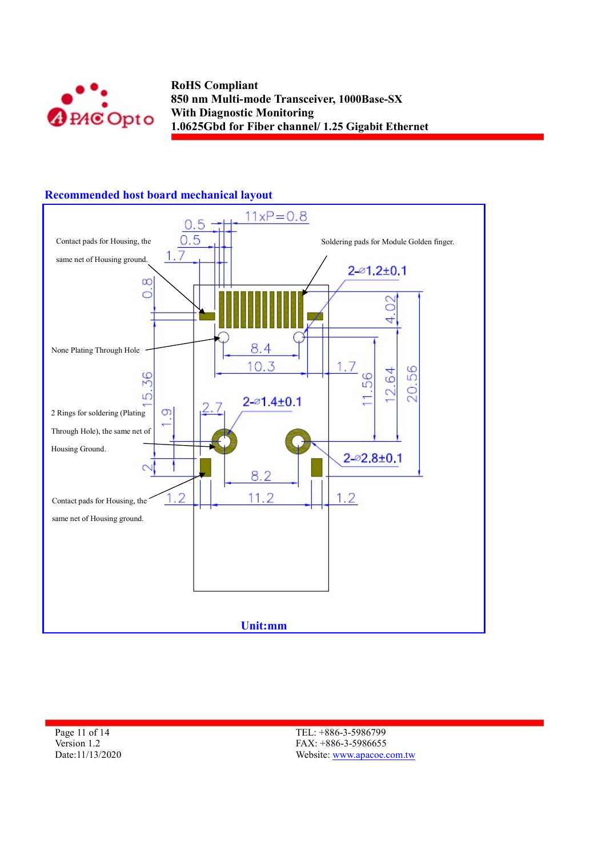



## Recommended host board mechanical layout

Page 11 of 14 Version 1.2 Date:11/13/2020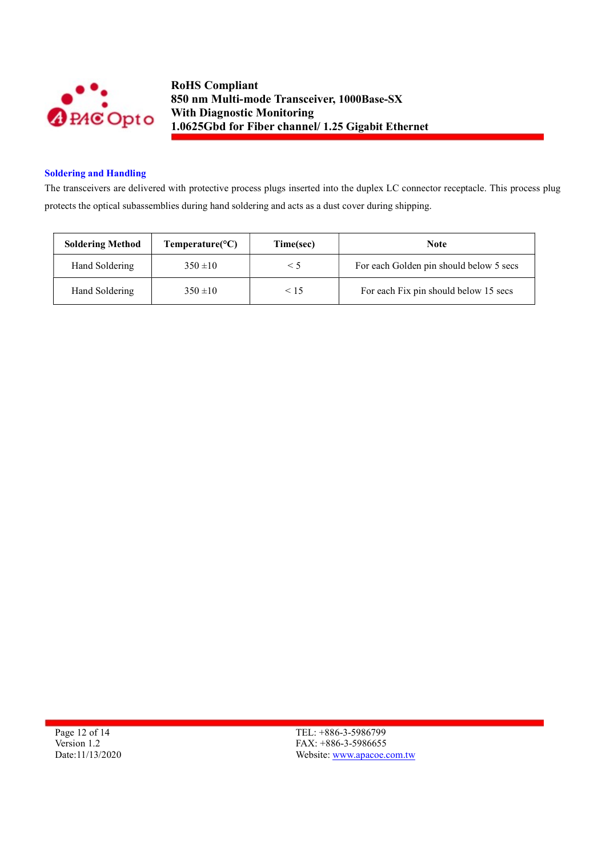

#### Soldering and Handling

The transceivers are delivered with protective process plugs inserted into the duplex LC connector receptacle. This process plug protects the optical subassemblies during hand soldering and acts as a dust cover during shipping.

| <b>Soldering Method</b> | Temperature( ${}^{\circ}C$ ) | Time(sec) | <b>Note</b>                             |
|-------------------------|------------------------------|-----------|-----------------------------------------|
| Hand Soldering          | $350 \pm 10$                 | $\leq$ 5  | For each Golden pin should below 5 secs |
| Hand Soldering          | $350 \pm 10$                 | < 15      | For each Fix pin should below 15 secs   |

Page 12 of 14 Version 1.2 Date:11/13/2020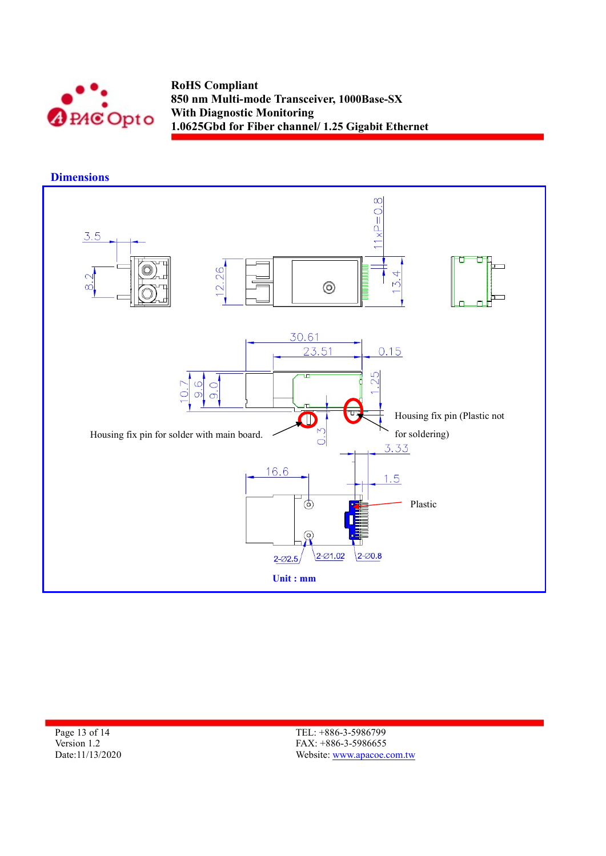

**Dimensions** 



Page 13 of 14 Version 1.2 Date:11/13/2020